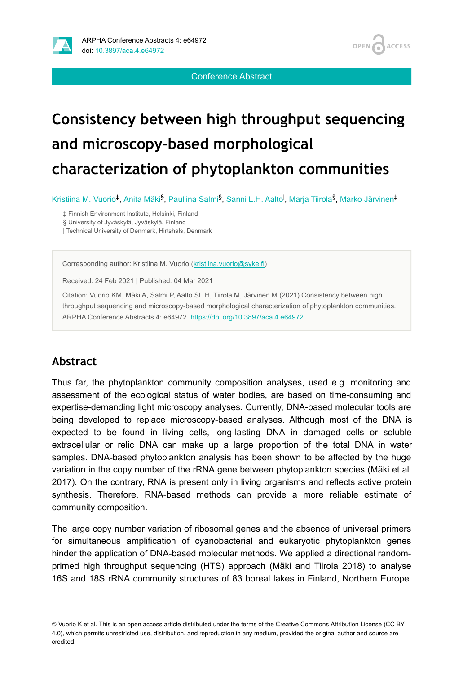

Conference Abstract

# **Consistency between high throughput sequencing and microscopy-based morphological characterization of phytoplankton communities**

Kristiina M. Vuorio<sup>‡</sup>, Anita Mäki<sup>§</sup>, Pauliina Salmi<sup>§</sup>, Sanni L.H. Aalto<sup>l</sup>, Marja Tiirola<sup>§</sup>, Marko Järvinen<sup>‡</sup>

‡ Finnish Environment Institute, Helsinki, Finland

§ University of Jyväskylä, Jyväskylä, Finland

| Technical University of Denmark, Hirtshals, Denmark

Corresponding author: Kristiina M. Vuorio [\(kristiina.vuorio@syke.fi](mailto:kristiina.vuorio@syke.fi))

Received: 24 Feb 2021 | Published: 04 Mar 2021

Citation: Vuorio KM, Mäki A, Salmi P, Aalto SL.H, Tiirola M, Järvinen M (2021) Consistency between high throughput sequencing and microscopy-based morphological characterization of phytoplankton communities. ARPHA Conference Abstracts 4: e64972. <https://doi.org/10.3897/aca.4.e64972>

### **Abstract**

Thus far, the phytoplankton community composition analyses, used e.g. monitoring and assessment of the ecological status of water bodies, are based on time-consuming and expertise-demanding light microscopy analyses. Currently, DNA-based molecular tools are being developed to replace microscopy-based analyses. Although most of the DNA is expected to be found in living cells, long-lasting DNA in damaged cells or soluble extracellular or relic DNA can make up a large proportion of the total DNA in water samples. DNA-based phytoplankton analysis has been shown to be affected by the huge variation in the copy number of the rRNA gene between phytoplankton species (Mäki et al. 2017). On the contrary, RNA is present only in living organisms and reflects active protein synthesis. Therefore, RNA-based methods can provide a more reliable estimate of community composition.

The large copy number variation of ribosomal genes and the absence of universal primers for simultaneous amplification of cyanobacterial and eukaryotic phytoplankton genes hinder the application of DNA-based molecular methods. We applied a directional randomprimed high throughput sequencing (HTS) approach (Mäki and Tiirola 2018) to analyse 16S and 18S rRNA community structures of 83 boreal lakes in Finland, Northern Europe.

<sup>©</sup> Vuorio K et al. This is an open access article distributed under the terms of the Creative Commons Attribution License (CC BY 4.0), which permits unrestricted use, distribution, and reproduction in any medium, provided the original author and source are credited.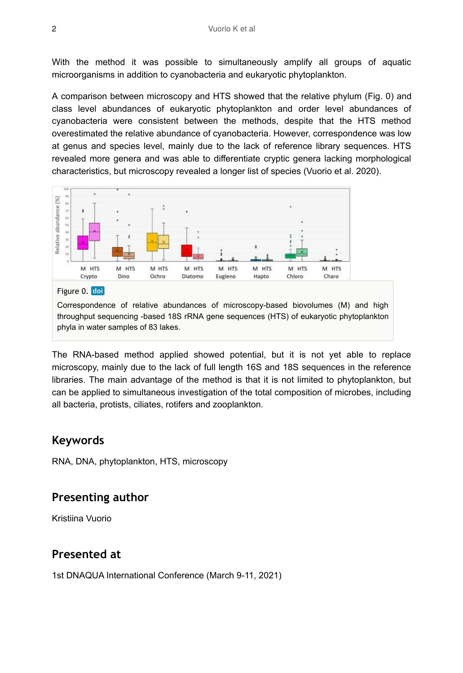With the method it was possible to simultaneously amplify all groups of aquatic microorganisms in addition to cyanobacteria and eukaryotic phytoplankton.

A comparison between microscopy and HTS showed that the relative phylum (Fig. 0) and class level abundances of eukaryotic phytoplankton and order level abundances of cyanobacteria were consistent between the methods, despite that the HTS method overestimated the relative abundance of cyanobacteria. However, correspondence was low at genus and species level, mainly due to the lack of reference library sequences. HTS revealed more genera and was able to differentiate cryptic genera lacking morphological characteristics, but microscopy revealed a longer list of species (Vuorio et al. 2020).



throughput sequencing -based 18S rRNA gene sequences (HTS) of eukaryotic phytoplankton phyla in water samples of 83 lakes.

The RNA-based method applied showed potential, but it is not yet able to replace microscopy, mainly due to the lack of full length 16S and 18S sequences in the reference libraries. The main advantage of the method is that it is not limited to phytoplankton, but can be applied to simultaneous investigation of the total composition of microbes, including all bacteria, protists, ciliates, rotifers and zooplankton.

#### **Keywords**

RNA, DNA, phytoplankton, HTS, microscopy

#### **Presenting author**

Kristiina Vuorio

#### **Presented at**

1st DNAQUA International Conference (March 9-11, 2021)